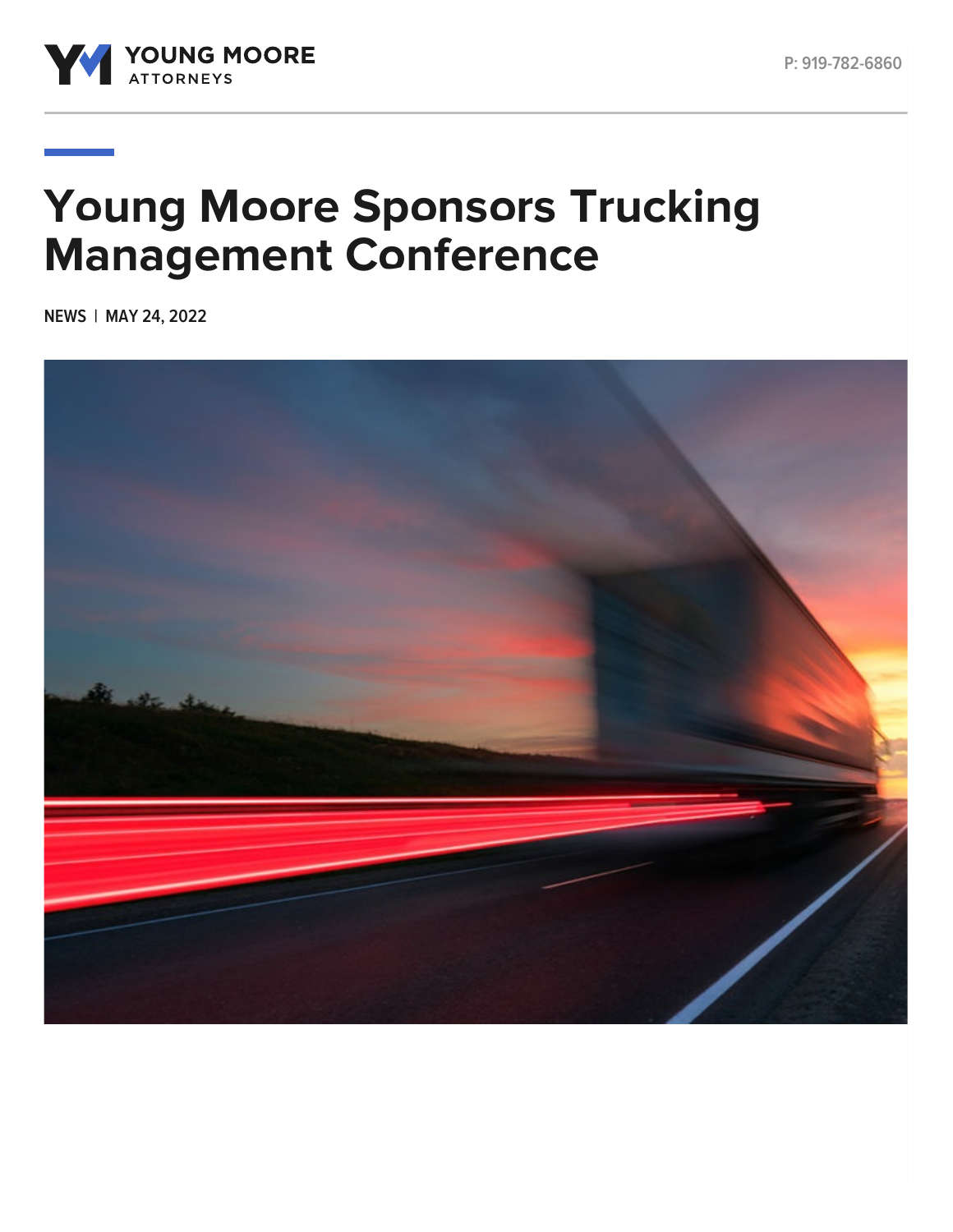



## **Young Moore Sponsors Trucking Management Conference**

**NEWS | MAY 24, 2022**

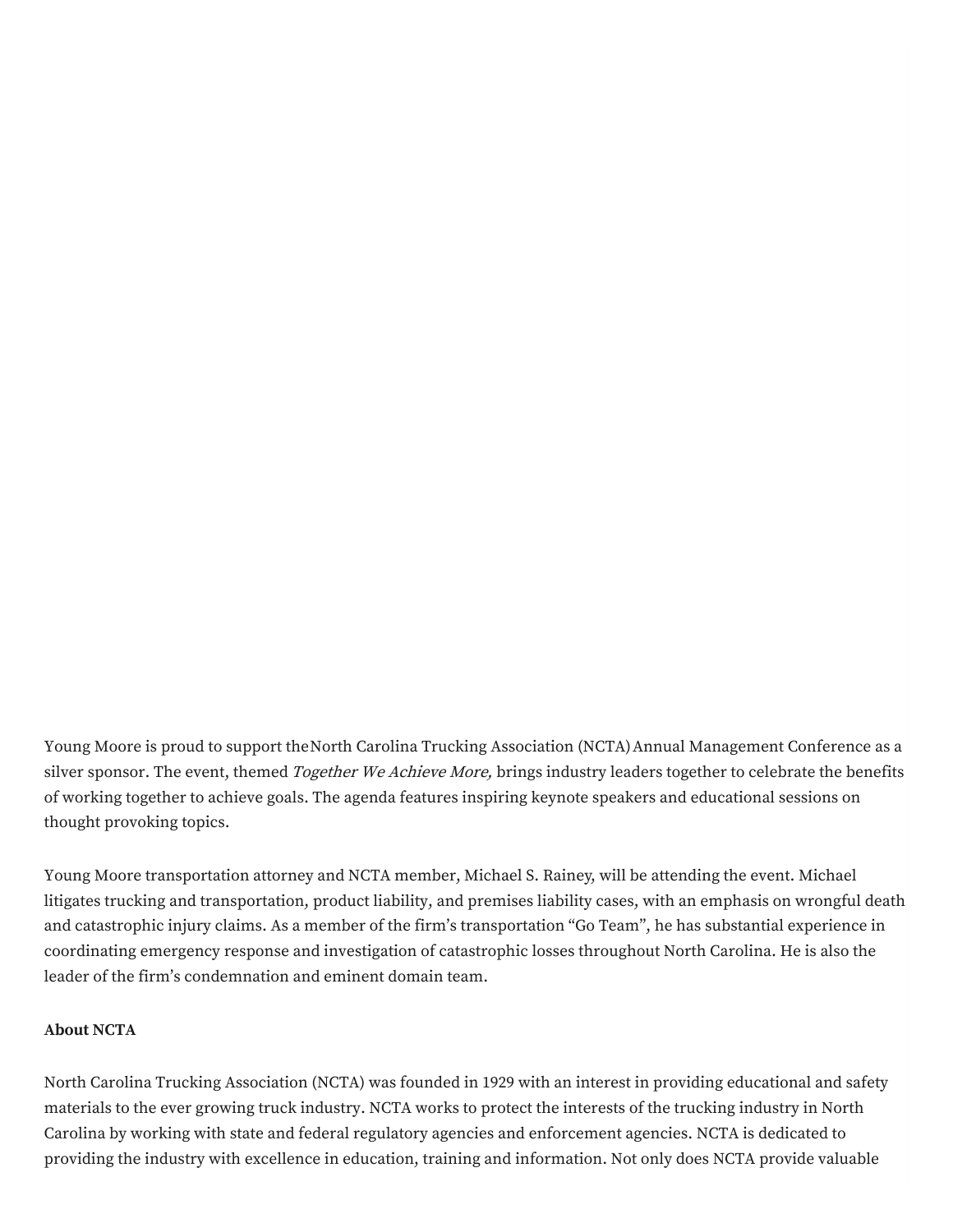Young Moore is proud to support theNorth Carolina Trucking [Association](https://www.nctrucking.com/) (NCTA)Annual Management Conference as a silver sponsor. The event, themed Together We Achieve More, brings industry leaders together to celebrate the benefits of working together to achieve goals. The agenda features inspiring keynote speakers and educational sessions on thought provoking topics.

Young Moore transportation attorney and NCTA member, [Michael](https://www.youngmoorelaw.com/people/attorneys/michael-rainey/) S. Rainey, will be attending the event. Michael litigates trucking and transportation, product liability, and premises liability cases, with an emphasis on wrongful death and catastrophic injury claims. As a member of the firm's transportation "Go Team", he has substantial experience in coordinating emergency response and investigation of catastrophic losses throughout North Carolina. He is also the leader of the firm's condemnation and eminent domain team.

## **About NCTA**

North Carolina Trucking Association (NCTA) was founded in 1929 with an interest in providing educational and safety materials to the ever growing truck industry. NCTA works to protect the interests of the trucking industry in North Carolina by working with state and federal regulatory agencies and enforcement agencies. NCTA is dedicated to providing the industry with excellence in education, training and information. Not only does NCTA provide valuable